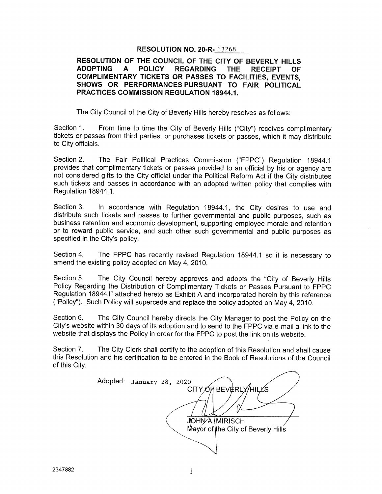#### RESOLUTION NO. 20-R- 13268

### RESOLUTION OF THE COUNCIL OF THE CITY OF BEVERLY HILLS<br>ADOPTING A POLICY REGARDING THE RECEIPT OF REGARDING THE RECEIPT OF COMPLIMENTARY TICKETS OR PASSES TO FACILITIES, EVENTS, SHOWS OR PERFORMANCES PURSUANT TO FAIR POLITICAL PRACTICES COMMISSION REGULATION 18944.1.

The City Council of the City of Beverly Hills hereby resolves as follows:

Section 1. From time to time the City of Beverly Hills ("City") receives complimentary tickets or passes from third parties, or purchases tickets or passes, which it may distribute to City officials.

Section 2. The Fair Political Practices Commission ("FPPC") Regulation 18944.1 provides that complimentary tickets or passes provided to an official by his or agency are not considered gifts to the City official under the Political Reform Act if the City distributes such tickets and passes in accordance with an adopted written policy that complies with Regulation 18944.1.

Section 3. In accordance with Regulation 18944.1, the City desires to use and distribute such tickets and passes to further governmental and public purposes, such as business retention and economic development, supporting employee morale and retention or to reward public service, and such other such governmental and public purposes as specified in the City's policy.

Section 4. The FPPC has recently revised Regulation 18944.1 so it is necessary to amend the existing policy adopted on May 4, 2010.

Section 5. The City Council hereby approves and adopts the "City of Beverly Hills Policy Regarding the Distribution of Complimentary Tickets or Passes Pursuant to FPPC Regulation 18944.1" attached hereto as Exhibit <sup>A</sup> and incorporated herein by this reference ("Policy"). Such Policy will supercede and replace the policy adopted on May 4, 2010.

Section 6. The City Council hereby directs the City Manager to post the Policy on the City's website within 30 days of its adoption and to send to the FPPC via e-mail a link to the website that displays the Policy in order for the FPPC to post the link on its website.

Section 7. The City Clerk shall certify to the adoption of this Resolution and shall cause this Resolution and his certification to be entered in the Book of Resolutions of the Council of this City.

Adopted: January 28, 2020 CITY OF BEVERLY/HILL'S JOHNA. MIRISCH Mayor of the City of Beverly Hills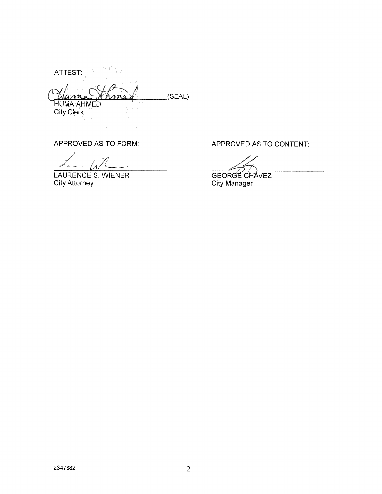ATTEST  $(SEAL)$ **HUMA AHMED** City Clerk

LAURENCE S. WIENER GEORGE CHAVEZ<br>
City Attorney City Manager

APPROVED AS TO FORM: APPROVED AS TO CONTENT:

City Manager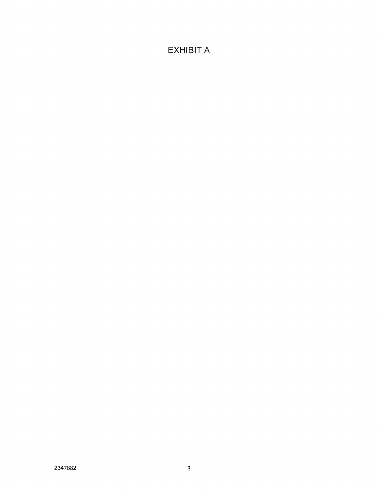# **EXHIBIT A**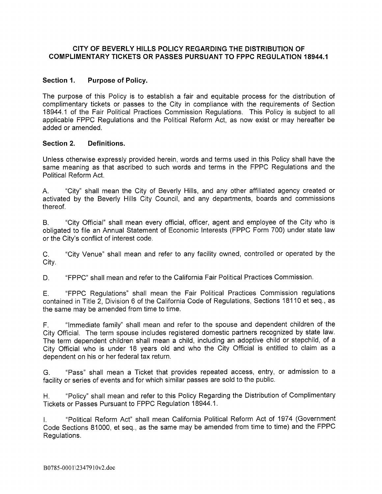### CITY OF BEVERLY HILLS POLICY REGARDING THE DISTRIBUTION OF COMPLIMENTARY TICKETS OR PASSES PURSUANT TO FPPC REGULATION 18944.1

## Section 1. Purpose of Policy.

The purpose of this Policy is to establish a fair and equitable process for the distribution of complimentary tickets or passes to the City in compliance with the requirements of Section 18944.1 of the Fair Political Practices Commission Regulations. This Policy is subject to all applicable FPPC Regulations and the Political Reform Act, as now exist or may hereafter be added or amended.

#### Section 2. Definitions.

Unless otherwise expressly provided herein, words and terms used in this Policy shall have the same meaning as that ascribed to such words and terms in the FPPC Regulations and the Political Reform Act.

A. "City" shall mean the City of Beverly Hills, and any other affiliated agency created or activated by the Beverly Hills City Council, and any departments, boards and commissions thereof.

B. "City Official" shall mean every official, officer, agent and employee of the City who is obligated to file an Annual Statement of Economic Interests (FPPC Form 700) under state law or the City's conflict of interest code.

C. 'City Venue" shall mean and refer to any facility owned, controlled or operated by the City.

D. "FPPC" shall mean and refer to the California Fair Political Practices Commission.

E. "FPPC Regulations" shall mean the Fair Political Practices Commission regulations contained in Title 2, Division <sup>6</sup> of the California Code of Regulations, Sections 18110 et seq., as the same may be amended from time to time.

F. "Immediate family" shall mean and refer to the spouse and dependent children of the City Official. The term spouse includes registered domestic partners recognized by state law. The term dependent children shall mean a child, including an adoptive child or stepchild, of a City Official who is under 18 years old and who the City Official is entitled to claim as a dependent on his or her federal tax return.

G. "Pass" shall mean a Ticket that provides repeated access, entry, or admission to a facility or series of events and for which similar passes are sold to the public.

H. "Policy" shall mean and refer to this Policy Regarding the Distribution of Complimentary Tickets or Passes Pursuant to FPPC Regulation 18944.1.

"Political Reform Act" shall mean California Political Reform Act of 1974 (Government Code Sections 81000, et seq., as the same may be amended from time to time) and the FPPC Regulations.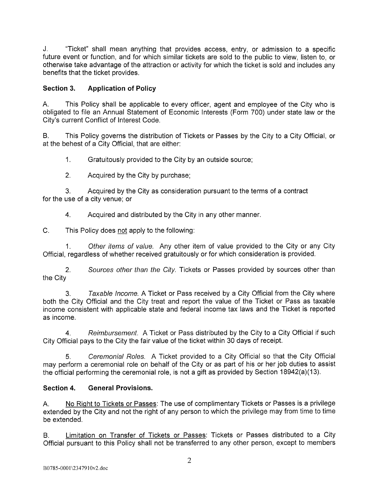J. 'Ticket" shall mean anything that provides access, entry, or admission to a specific future event or function, and for which similar tickets are sold to the public to view, listen to, or otherwise take advantage of the attraction or activity for which the ticket is sold and includes any benefits that the ticket provides.

# Section 3. Application of Policy

A. This Policy shall be applicable to every officer, agent and employee of the City who is obligated to file an Annual Statement of Economic Interests (Form 700) under state law or the City's current Conflict of Interest Code.

B. This Policy governs the distribution of Tickets or Passes by the City to a City Official, or at the behest of a City Official, that are either:

1. Gratuitously provided to the City by an outside source;

2. Acquired by the City by purchase;

3. Acquired by the City as consideration pursuant to the terms of a contract for the use of a city venue; or

4. Acquired and distributed by the City in any other manner.

C. This Policy does not apply to the following:

1. Other items of value. Any other item of value provided to the City or any City Official, regardless of whether received gratuitously or for which consideration is provided.

2. Sources other than the City. Tickets or Passes provided by sources other than the City

3. Taxable Income. A Ticket or Pass received by a City Official from the City where both the City Official and the City treat and report the value of the Ticket or Pass as taxable income consistent with applicable state and federal income tax laws and the Ticket is reported as income.

4. Reimbursement. A Ticket or Pass distributed by the City to a City Official if such City Official pays to the City the fair value of the ticket within 30 days of receipt.

5. Ceremonial Roles. A Ticket provided to a City Official so that the City Official may perform a ceremonial role on behalf of the City or as part of his or her job duties to assist the official performing the ceremonial role, is not a gift as provided by Section 18942(a)(13).

## Section 4. General Provisions.

A. No Right to Tickets or Passes: The use of complimentary Tickets or Passes is a privilege extended by the City and not the right of any person to which the privilege may from time to time be extended.

B. Limitation on Transfer of Tickets or Passes: Tickets or Passes distributed to a City Official pursuant to this Policy shall not be transferred to any other person, except to members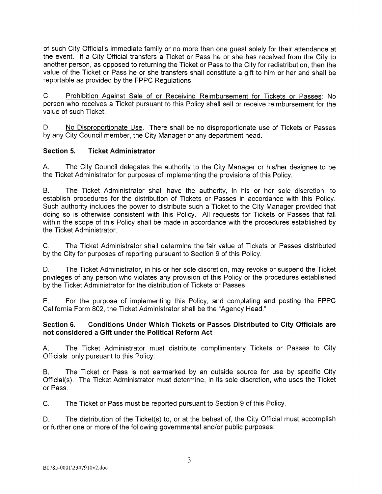of such City Official's immediate family or no more than one guest solely for their attendance at the event. If a City Official transfers a Ticket or Pass he or she has received from the City to another person, as opposed to returning the Ticket or Pass to the City for redistribution, then the value of the Ticket or Pass he or she transfers shall constitute a gift to him or her and shall be reportable as provided by the FPPC Regulations.

C. Prohibition Against Sale of or Receiving Reimbursement for Tickets or Passes: No person who receives a Ticket pursuant to this Policy shall sell or receive reimbursement for the value of such Ticket.

D. No Disproportionate Use. There shall be no disproportionate use of Tickets or Passes by any City Council member, the City Manager or any department head.

## Section 5. Ticket Administrator

A. The City Council delegates the authority to the City Manager or his/her designee to be the Ticket Administrator for purposes of implementing the provisions of this Policy.

B. The Ticket Administrator shall have the authority, in his or her sole discretion, to establish procedures for the distribution of Tickets or Passes in accordance with this Policy. Such authority includes the power to distribute such a Ticket to the City Manager provided that doing so is otherwise consistent with this Policy. All requests for Tickets or Passes that fall within the scope of this Policy shall be made in accordance with the procedures established by the Ticket Administrator.

C. The Ticket Administrator shall determine the fair value of Tickets or Passes distributed by the City for purposes of reporting pursuant to Section 9 of this Policy.

D. The Ticket Administrator, in his or her sole discretion, may revoke or suspend the Ticket privileges of any person who violates any provision of this Policy or the procedures established by the Ticket Administrator for the distribution of Tickets or Passes.

E. For the purpose of implementing this Policy, and completing and posting the FPPC California Form 802, the Ticket Administrator shall be the 'Agency Head."

## Section 6. Conditions Under Which Tickets or Passes Distributed to City Officials are not considered a Gift under the Political Reform Act

A. The Ticket Administrator must distribute complimentary Tickets or Passes to City Officials only pursuant to this Policy.

B. The Ticket or Pass is not earmarked by an outside source for use by specific City Official(s). The Ticket Administrator must determine, in its sole discretion, who uses the Ticket or Pass.

C. The Ticket or Pass must be reported pursuant to Section 9 of this Policy.

D. The distribution of the Ticket(s) to, or at the behest of, the City Official must accomplish or further one or more of the following governmental and/or public purposes: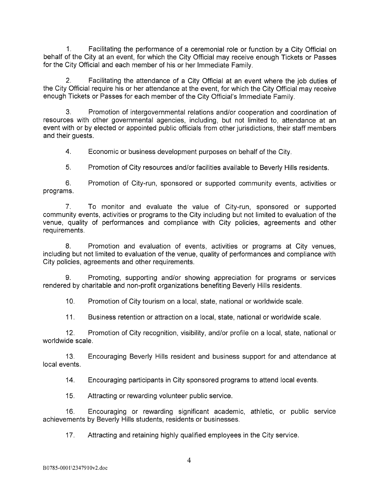1. Facilitating the performance of a ceremonial role or function by a City Official on behalf of the City at an event, for which the City Official may receive enough Tickets or Passes for the City Official and each member of his or her Immediate Family.

2. Facilitating the attendance of a City Official at an event where the job duties of the City Official require his or her attendance at the event, for which the City Official may receive enough Tickets or Passes for each member of the City Official's Immediate Family.

3. Promotion of intergovernmental relations and/or cooperation and coordination of resources with other governmental agencies, including, but not limited to, attendance at an event with or by elected or appointed public officials from other jurisdictions, their staff members and their quests.

4. Economic or business development purposes on behalf of the City.

5. Promotion of City resources and/or facilities available to Beverly Hills residents.

6. Promotion of City-run, sponsored or supported community events, activities or programs.

7. To monitor and evaluate the value of City-run, sponsored or supported community events, activities or programs to the City including but not limited to evaluation of the venue, quality of performances and compliance with City policies, agreements and other requirements.

8. Promotion and evaluation of events, activities or programs at City venues, including but not limited to evaluation of the venue, quality of performances and compliance with City policies, agreements and other requirements.

9. Promoting, supporting and/or showing appreciation for programs or services rendered by charitable and non-profit organizations benefiting Beverly Hills residents.

10. Promotion of City tourism on a local, state, national or worldwide scale.

11. Business retention or attraction on a local, state, national or worldwide scale.

12. Promotion of City recognition, visibility, and/or profile on a local, state, national or worldwide scale.

13. Encouraging Beverly Hills resident and business support for and attendance at local events.

14. Encouraging participants in City sponsored programs to attend local events.

15. Attracting or rewarding volunteer public service.

16. Encouraging or rewarding significant academic, athletic, or public service achievements by Beverly Hills students, residents or businesses.

17. Attracting and retaining highly qualified employees in the City service.